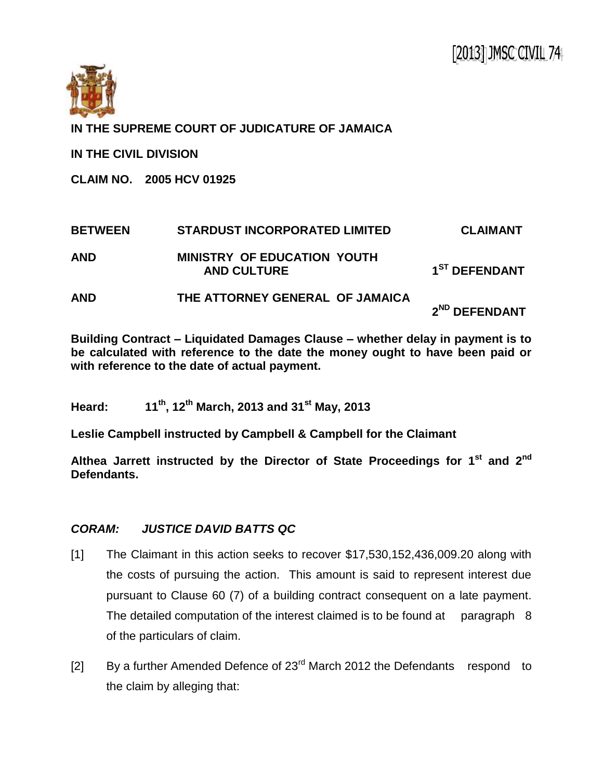

**IN THE SUPREME COURT OF JUDICATURE OF JAMAICA**

**IN THE CIVIL DIVISION**

**CLAIM NO. 2005 HCV 01925**

| <b>BETWEEN</b> | <b>STARDUST INCORPORATED LIMITED</b>                     | <b>CLAIMANT</b>           |
|----------------|----------------------------------------------------------|---------------------------|
| <b>AND</b>     | <b>MINISTRY OF EDUCATION YOUTH</b><br><b>AND CULTURE</b> | 1 <sup>ST</sup> DEFENDANT |
| <b>AND</b>     | THE ATTORNEY GENERAL OF JAMAICA                          | 2 <sup>ND</sup> DEFENDANT |

**Building Contract – Liquidated Damages Clause – whether delay in payment is to be calculated with reference to the date the money ought to have been paid or with reference to the date of actual payment.** 

**Heard: 11th, 12th March, 2013 and 31st May, 2013**

**Leslie Campbell instructed by Campbell & Campbell for the Claimant**

**Althea Jarrett instructed by the Director of State Proceedings for 1 st and 2nd Defendants.**

## *CORAM: JUSTICE DAVID BATTS QC*

- [1] The Claimant in this action seeks to recover \$17,530,152,436,009.20 along with the costs of pursuing the action. This amount is said to represent interest due pursuant to Clause 60 (7) of a building contract consequent on a late payment. The detailed computation of the interest claimed is to be found at paragraph 8 of the particulars of claim.
- [2] By a further Amended Defence of  $23<sup>rd</sup>$  March 2012 the Defendants respond to the claim by alleging that: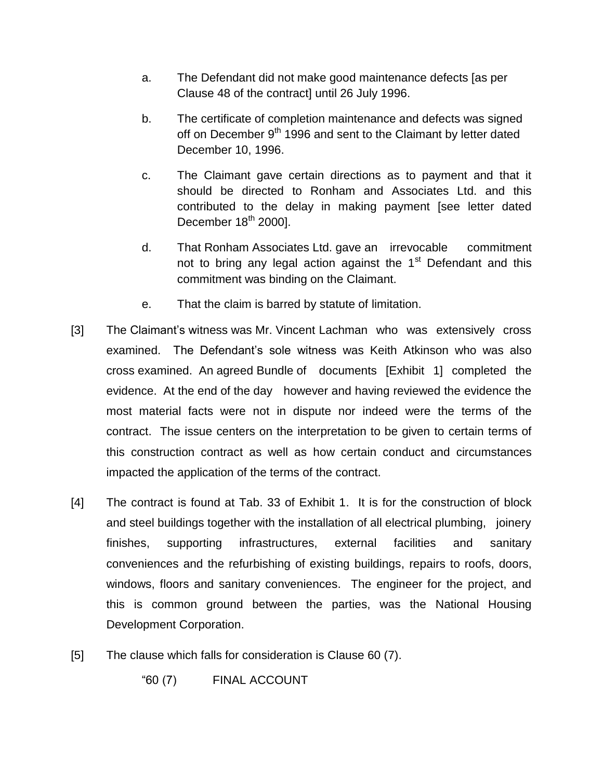- a. The Defendant did not make good maintenance defects [as per Clause 48 of the contract] until 26 July 1996.
- b. The certificate of completion maintenance and defects was signed off on December 9<sup>th</sup> 1996 and sent to the Claimant by letter dated December 10, 1996.
- c. The Claimant gave certain directions as to payment and that it should be directed to Ronham and Associates Ltd. and this contributed to the delay in making payment [see letter dated December  $18^{th}$  2000].
- d. That Ronham Associates Ltd. gave an irrevocable commitment not to bring any legal action against the  $1<sup>st</sup>$  Defendant and this commitment was binding on the Claimant.
- e. That the claim is barred by statute of limitation.
- [3] The Claimant's witness was Mr. Vincent Lachman who was extensively cross examined. The Defendant's sole witness was Keith Atkinson who was also cross examined. An agreed Bundle of documents [Exhibit 1] completed the evidence. At the end of the day however and having reviewed the evidence the most material facts were not in dispute nor indeed were the terms of the contract. The issue centers on the interpretation to be given to certain terms of this construction contract as well as how certain conduct and circumstances impacted the application of the terms of the contract.
- [4] The contract is found at Tab. 33 of Exhibit 1. It is for the construction of block and steel buildings together with the installation of all electrical plumbing, joinery finishes, supporting infrastructures, external facilities and sanitary conveniences and the refurbishing of existing buildings, repairs to roofs, doors, windows, floors and sanitary conveniences. The engineer for the project, and this is common ground between the parties, was the National Housing Development Corporation.
- [5] The clause which falls for consideration is Clause 60 (7).

"60 (7) FINAL ACCOUNT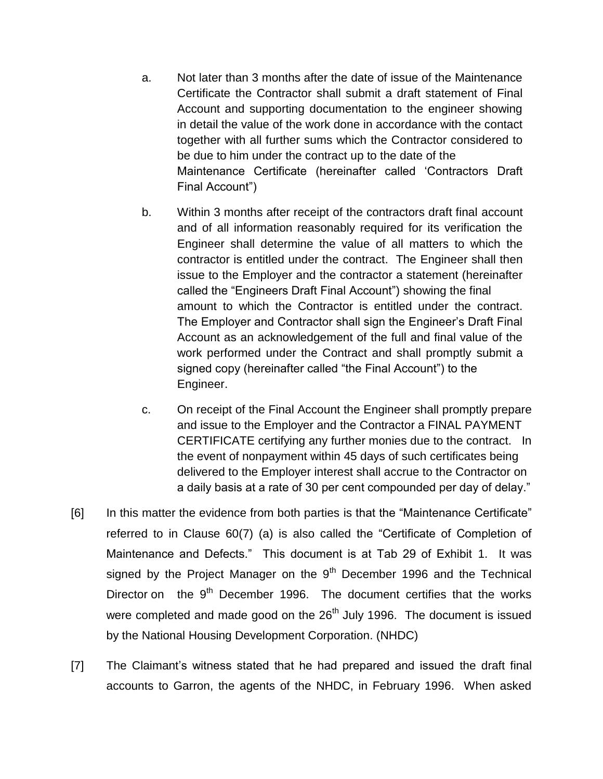- a. Not later than 3 months after the date of issue of the Maintenance Certificate the Contractor shall submit a draft statement of Final Account and supporting documentation to the engineer showing in detail the value of the work done in accordance with the contact together with all further sums which the Contractor considered to be due to him under the contract up to the date of the Maintenance Certificate (hereinafter called 'Contractors Draft Final Account")
- b. Within 3 months after receipt of the contractors draft final account and of all information reasonably required for its verification the Engineer shall determine the value of all matters to which the contractor is entitled under the contract. The Engineer shall then issue to the Employer and the contractor a statement (hereinafter called the "Engineers Draft Final Account") showing the final amount to which the Contractor is entitled under the contract. The Employer and Contractor shall sign the Engineer's Draft Final Account as an acknowledgement of the full and final value of the work performed under the Contract and shall promptly submit a signed copy (hereinafter called "the Final Account") to the Engineer.
- c. On receipt of the Final Account the Engineer shall promptly prepare and issue to the Employer and the Contractor a FINAL PAYMENT CERTIFICATE certifying any further monies due to the contract. In the event of nonpayment within 45 days of such certificates being delivered to the Employer interest shall accrue to the Contractor on a daily basis at a rate of 30 per cent compounded per day of delay."
- [6] In this matter the evidence from both parties is that the "Maintenance Certificate" referred to in Clause 60(7) (a) is also called the "Certificate of Completion of Maintenance and Defects." This document is at Tab 29 of Exhibit 1. It was signed by the Project Manager on the  $9<sup>th</sup>$  December 1996 and the Technical Director on the  $9<sup>th</sup>$  December 1996. The document certifies that the works were completed and made good on the  $26<sup>th</sup>$  July 1996. The document is issued by the National Housing Development Corporation. (NHDC)
- [7] The Claimant's witness stated that he had prepared and issued the draft final accounts to Garron, the agents of the NHDC, in February 1996. When asked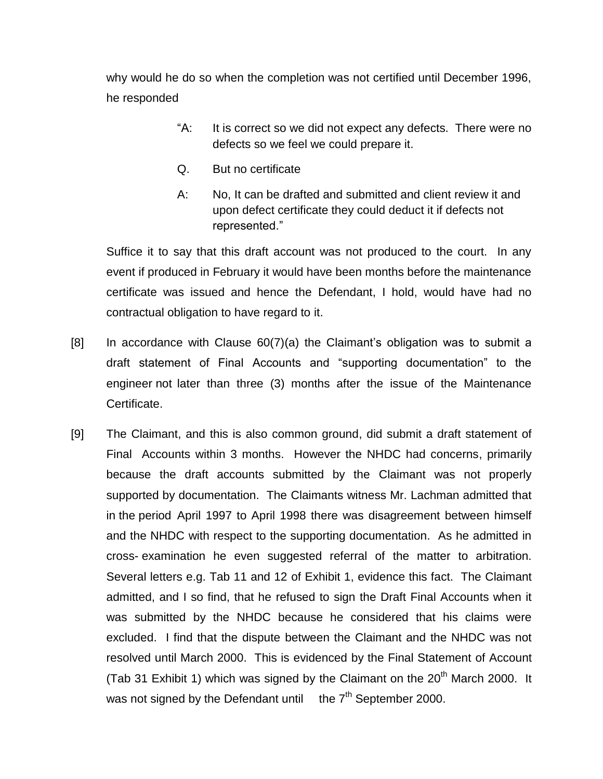why would he do so when the completion was not certified until December 1996, he responded

- "A: It is correct so we did not expect any defects. There were no defects so we feel we could prepare it.
- Q. But no certificate
- A: No, It can be drafted and submitted and client review it and upon defect certificate they could deduct it if defects not represented."

Suffice it to say that this draft account was not produced to the court. In any event if produced in February it would have been months before the maintenance certificate was issued and hence the Defendant, I hold, would have had no contractual obligation to have regard to it.

- [8] In accordance with Clause 60(7)(a) the Claimant's obligation was to submit a draft statement of Final Accounts and "supporting documentation" to the engineer not later than three (3) months after the issue of the Maintenance Certificate.
- [9] The Claimant, and this is also common ground, did submit a draft statement of Final Accounts within 3 months. However the NHDC had concerns, primarily because the draft accounts submitted by the Claimant was not properly supported by documentation. The Claimants witness Mr. Lachman admitted that in the period April 1997 to April 1998 there was disagreement between himself and the NHDC with respect to the supporting documentation. As he admitted in cross- examination he even suggested referral of the matter to arbitration. Several letters e.g. Tab 11 and 12 of Exhibit 1, evidence this fact. The Claimant admitted, and I so find, that he refused to sign the Draft Final Accounts when it was submitted by the NHDC because he considered that his claims were excluded. I find that the dispute between the Claimant and the NHDC was not resolved until March 2000. This is evidenced by the Final Statement of Account (Tab 31 Exhibit 1) which was signed by the Claimant on the  $20<sup>th</sup>$  March 2000. It was not signed by the Defendant until the  $7<sup>th</sup>$  September 2000.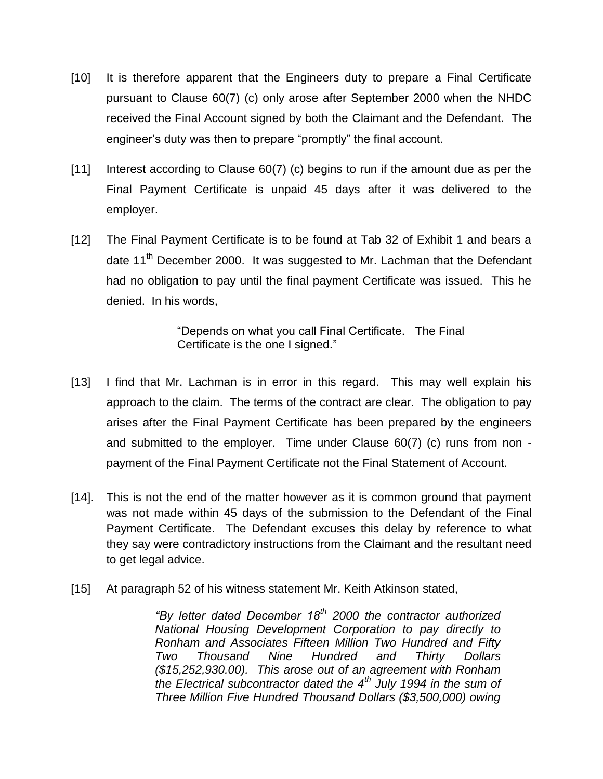- [10] It is therefore apparent that the Engineers duty to prepare a Final Certificate pursuant to Clause 60(7) (c) only arose after September 2000 when the NHDC received the Final Account signed by both the Claimant and the Defendant. The engineer's duty was then to prepare "promptly" the final account.
- [11] Interest according to Clause 60(7) (c) begins to run if the amount due as per the Final Payment Certificate is unpaid 45 days after it was delivered to the employer.
- [12] The Final Payment Certificate is to be found at Tab 32 of Exhibit 1 and bears a date 11<sup>th</sup> December 2000. It was suggested to Mr. Lachman that the Defendant had no obligation to pay until the final payment Certificate was issued. This he denied. In his words,

"Depends on what you call Final Certificate. The Final Certificate is the one I signed."

- [13] I find that Mr. Lachman is in error in this regard. This may well explain his approach to the claim. The terms of the contract are clear. The obligation to pay arises after the Final Payment Certificate has been prepared by the engineers and submitted to the employer. Time under Clause 60(7) (c) runs from non payment of the Final Payment Certificate not the Final Statement of Account.
- [14]. This is not the end of the matter however as it is common ground that payment was not made within 45 days of the submission to the Defendant of the Final Payment Certificate. The Defendant excuses this delay by reference to what they say were contradictory instructions from the Claimant and the resultant need to get legal advice.
- [15] At paragraph 52 of his witness statement Mr. Keith Atkinson stated,

*"By letter dated December 18th 2000 the contractor authorized National Housing Development Corporation to pay directly to Ronham and Associates Fifteen Million Two Hundred and Fifty Two Thousand Nine Hundred and Thirty Dollars (\$15,252,930.00). This arose out of an agreement with Ronham the Electrical subcontractor dated the 4th July 1994 in the sum of Three Million Five Hundred Thousand Dollars (\$3,500,000) owing*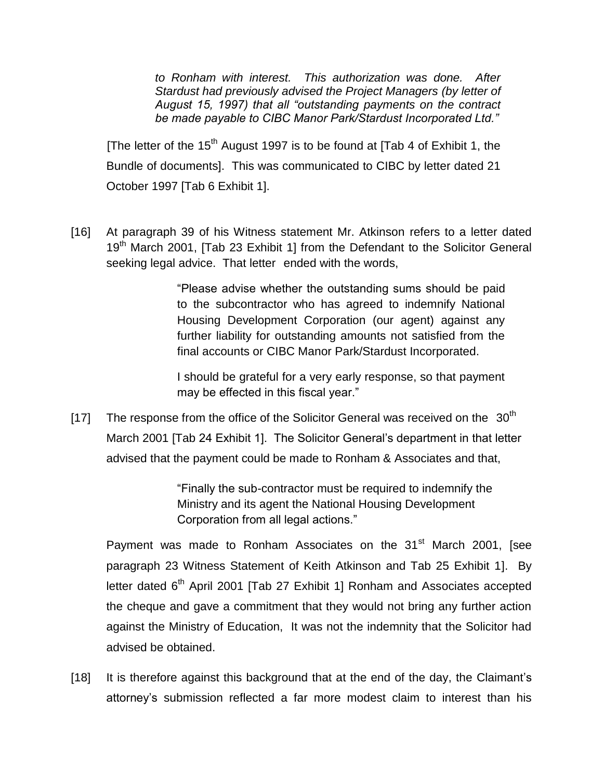*to Ronham with interest. This authorization was done. After Stardust had previously advised the Project Managers (by letter of August 15, 1997) that all "outstanding payments on the contract be made payable to CIBC Manor Park/Stardust Incorporated Ltd."*

[The letter of the  $15<sup>th</sup>$  August 1997 is to be found at [Tab 4 of Exhibit 1, the Bundle of documents]. This was communicated to CIBC by letter dated 21 October 1997 [Tab 6 Exhibit 1].

[16] At paragraph 39 of his Witness statement Mr. Atkinson refers to a letter dated 19<sup>th</sup> March 2001, [Tab 23 Exhibit 1] from the Defendant to the Solicitor General seeking legal advice. That letter ended with the words,

> "Please advise whether the outstanding sums should be paid to the subcontractor who has agreed to indemnify National Housing Development Corporation (our agent) against any further liability for outstanding amounts not satisfied from the final accounts or CIBC Manor Park/Stardust Incorporated.

> I should be grateful for a very early response, so that payment may be effected in this fiscal year."

[17] The response from the office of the Solicitor General was received on the  $30<sup>th</sup>$ March 2001 [Tab 24 Exhibit 1]. The Solicitor General's department in that letter advised that the payment could be made to Ronham & Associates and that,

> "Finally the sub-contractor must be required to indemnify the Ministry and its agent the National Housing Development Corporation from all legal actions."

Payment was made to Ronham Associates on the 31<sup>st</sup> March 2001, [see paragraph 23 Witness Statement of Keith Atkinson and Tab 25 Exhibit 1]. By letter dated  $6<sup>th</sup>$  April 2001 [Tab 27 Exhibit 1] Ronham and Associates accepted the cheque and gave a commitment that they would not bring any further action against the Ministry of Education, It was not the indemnity that the Solicitor had advised be obtained.

[18] It is therefore against this background that at the end of the day, the Claimant's attorney's submission reflected a far more modest claim to interest than his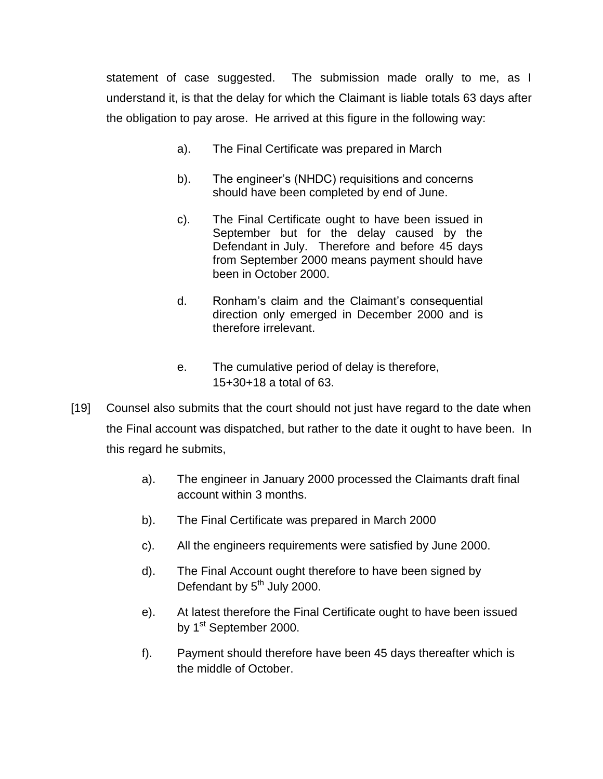statement of case suggested. The submission made orally to me, as I understand it, is that the delay for which the Claimant is liable totals 63 days after the obligation to pay arose. He arrived at this figure in the following way:

- a). The Final Certificate was prepared in March
- b). The engineer's (NHDC) requisitions and concerns should have been completed by end of June.
- c). The Final Certificate ought to have been issued in September but for the delay caused by the Defendant in July. Therefore and before 45 days from September 2000 means payment should have been in October 2000.
- d. Ronham's claim and the Claimant's consequential direction only emerged in December 2000 and is therefore irrelevant.
- e. The cumulative period of delay is therefore, 15+30+18 a total of 63.
- [19] Counsel also submits that the court should not just have regard to the date when the Final account was dispatched, but rather to the date it ought to have been. In this regard he submits,
	- a). The engineer in January 2000 processed the Claimants draft final account within 3 months.
	- b). The Final Certificate was prepared in March 2000
	- c). All the engineers requirements were satisfied by June 2000.
	- d). The Final Account ought therefore to have been signed by Defendant by 5<sup>th</sup> July 2000.
	- e). At latest therefore the Final Certificate ought to have been issued by 1<sup>st</sup> September 2000.
	- f). Payment should therefore have been 45 days thereafter which is the middle of October.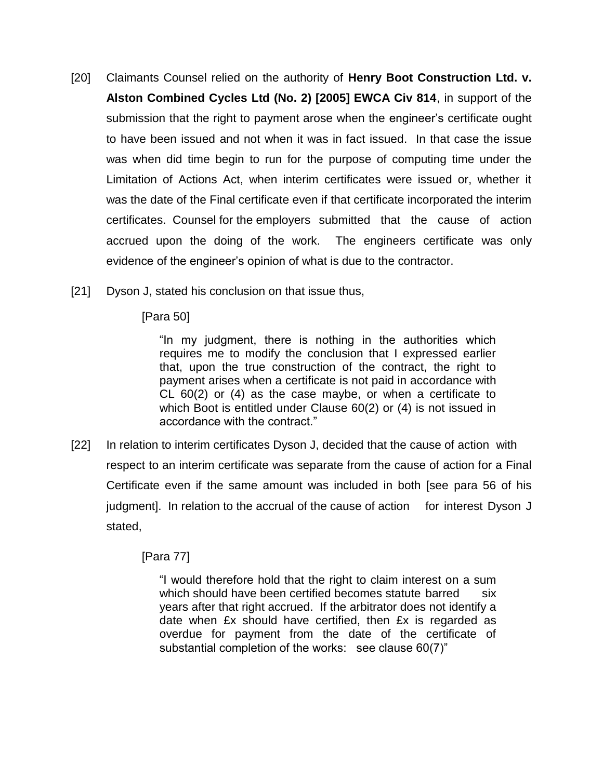- [20] Claimants Counsel relied on the authority of **Henry Boot Construction Ltd. v. Alston Combined Cycles Ltd (No. 2) [2005] EWCA Civ 814**, in support of the submission that the right to payment arose when the engineer's certificate ought to have been issued and not when it was in fact issued. In that case the issue was when did time begin to run for the purpose of computing time under the Limitation of Actions Act, when interim certificates were issued or, whether it was the date of the Final certificate even if that certificate incorporated the interim certificates. Counsel for the employers submitted that the cause of action accrued upon the doing of the work. The engineers certificate was only evidence of the engineer's opinion of what is due to the contractor.
- [21] Dyson J, stated his conclusion on that issue thus,

[Para 50]

"In my judgment, there is nothing in the authorities which requires me to modify the conclusion that I expressed earlier that, upon the true construction of the contract, the right to payment arises when a certificate is not paid in accordance with CL 60(2) or (4) as the case maybe, or when a certificate to which Boot is entitled under Clause 60(2) or (4) is not issued in accordance with the contract."

[22] In relation to interim certificates Dyson J, decided that the cause of action with respect to an interim certificate was separate from the cause of action for a Final Certificate even if the same amount was included in both [see para 56 of his judgment]. In relation to the accrual of the cause of action for interest Dyson J stated,

[Para 77]

"I would therefore hold that the right to claim interest on a sum which should have been certified becomes statute barred six years after that right accrued. If the arbitrator does not identify a date when £x should have certified, then £x is regarded as overdue for payment from the date of the certificate of substantial completion of the works: see clause 60(7)"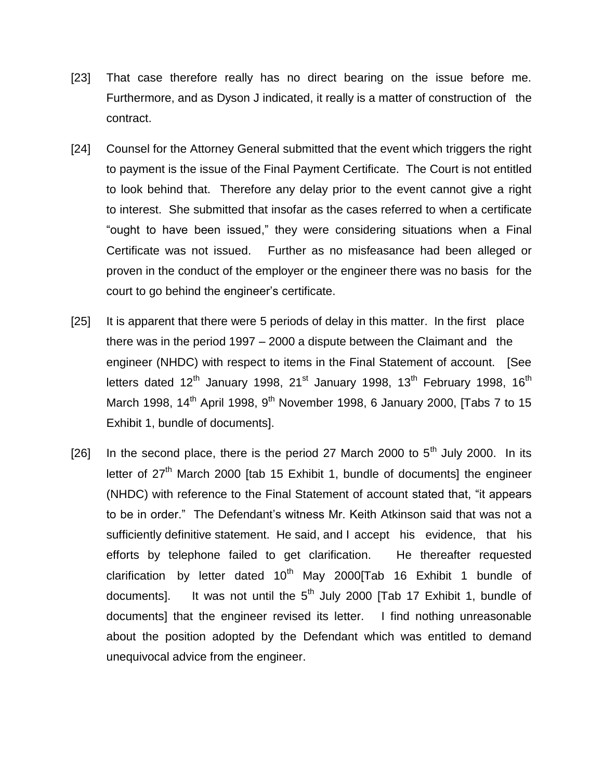- [23] That case therefore really has no direct bearing on the issue before me. Furthermore, and as Dyson J indicated, it really is a matter of construction of the contract.
- [24] Counsel for the Attorney General submitted that the event which triggers the right to payment is the issue of the Final Payment Certificate. The Court is not entitled to look behind that. Therefore any delay prior to the event cannot give a right to interest. She submitted that insofar as the cases referred to when a certificate "ought to have been issued," they were considering situations when a Final Certificate was not issued. Further as no misfeasance had been alleged or proven in the conduct of the employer or the engineer there was no basis for the court to go behind the engineer's certificate.
- [25] It is apparent that there were 5 periods of delay in this matter. In the first place there was in the period 1997 – 2000 a dispute between the Claimant and the engineer (NHDC) with respect to items in the Final Statement of account. [See letters dated  $12<sup>th</sup>$  January 1998, 21<sup>st</sup> January 1998, 13<sup>th</sup> February 1998, 16<sup>th</sup> March 1998, 14<sup>th</sup> April 1998, 9<sup>th</sup> November 1998, 6 January 2000, [Tabs 7 to 15 Exhibit 1, bundle of documents].
- [26] In the second place, there is the period 27 March 2000 to  $5<sup>th</sup>$  July 2000. In its letter of  $27<sup>th</sup>$  March 2000 [tab 15 Exhibit 1, bundle of documents] the engineer (NHDC) with reference to the Final Statement of account stated that, "it appears to be in order." The Defendant's witness Mr. Keith Atkinson said that was not a sufficiently definitive statement. He said, and I accept his evidence, that his efforts by telephone failed to get clarification. He thereafter requested clarification by letter dated  $10<sup>th</sup>$  May 2000 [Tab 16 Exhibit 1 bundle of documents]. It was not until the  $5<sup>th</sup>$  July 2000 [Tab 17 Exhibit 1, bundle of documents] that the engineer revised its letter. I find nothing unreasonable about the position adopted by the Defendant which was entitled to demand unequivocal advice from the engineer.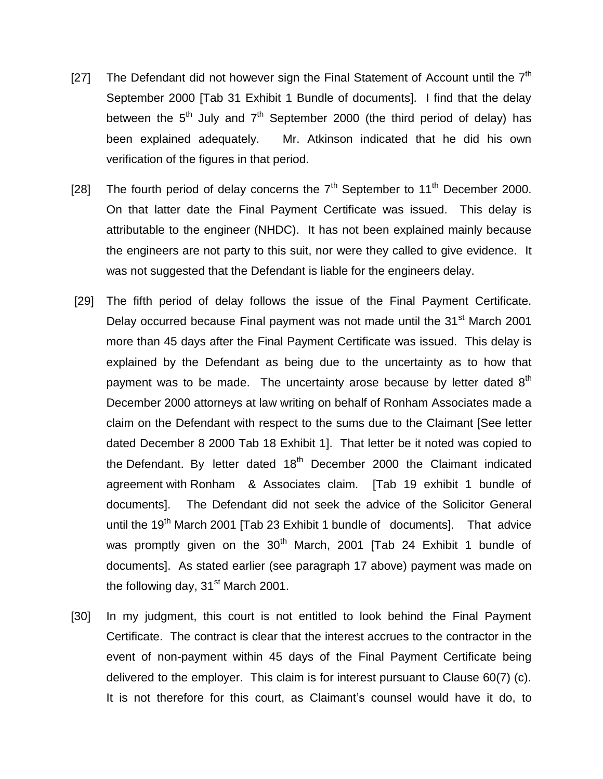- [27] The Defendant did not however sign the Final Statement of Account until the  $7<sup>th</sup>$ September 2000 [Tab 31 Exhibit 1 Bundle of documents]. I find that the delay between the  $5<sup>th</sup>$  July and  $7<sup>th</sup>$  September 2000 (the third period of delay) has been explained adequately. Mr. Atkinson indicated that he did his own verification of the figures in that period.
- [28] The fourth period of delay concerns the  $7<sup>th</sup>$  September to 11<sup>th</sup> December 2000. On that latter date the Final Payment Certificate was issued. This delay is attributable to the engineer (NHDC). It has not been explained mainly because the engineers are not party to this suit, nor were they called to give evidence. It was not suggested that the Defendant is liable for the engineers delay.
- [29] The fifth period of delay follows the issue of the Final Payment Certificate. Delay occurred because Final payment was not made until the 31<sup>st</sup> March 2001 more than 45 days after the Final Payment Certificate was issued. This delay is explained by the Defendant as being due to the uncertainty as to how that payment was to be made. The uncertainty arose because by letter dated  $8<sup>th</sup>$ December 2000 attorneys at law writing on behalf of Ronham Associates made a claim on the Defendant with respect to the sums due to the Claimant [See letter dated December 8 2000 Tab 18 Exhibit 1]. That letter be it noted was copied to the Defendant. By letter dated  $18<sup>th</sup>$  December 2000 the Claimant indicated agreement with Ronham & Associates claim. [Tab 19 exhibit 1 bundle of documents]. The Defendant did not seek the advice of the Solicitor General until the  $19<sup>th</sup>$  March 2001 [Tab 23 Exhibit 1 bundle of documents]. That advice was promptly given on the 30<sup>th</sup> March, 2001 [Tab 24 Exhibit 1 bundle of documents]. As stated earlier (see paragraph 17 above) payment was made on the following day,  $31<sup>st</sup>$  March 2001.
- [30] In my judgment, this court is not entitled to look behind the Final Payment Certificate. The contract is clear that the interest accrues to the contractor in the event of non-payment within 45 days of the Final Payment Certificate being delivered to the employer. This claim is for interest pursuant to Clause 60(7) (c). It is not therefore for this court, as Claimant's counsel would have it do, to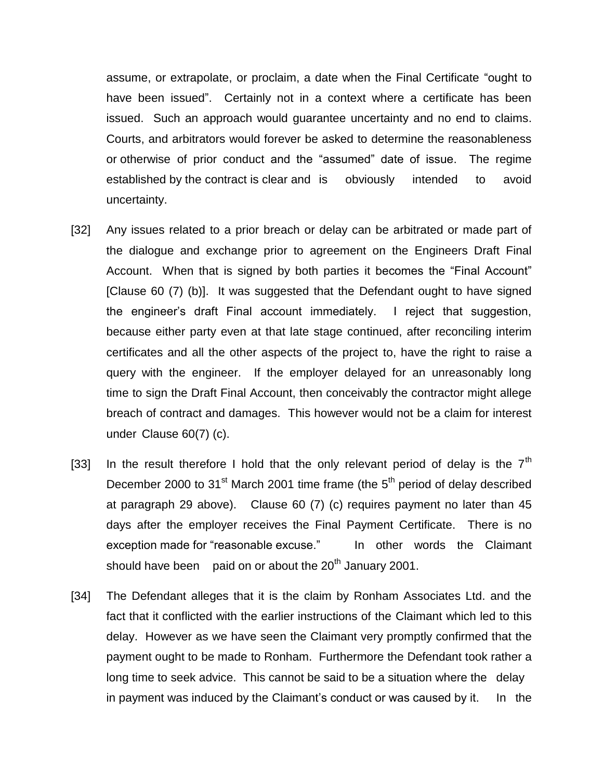assume, or extrapolate, or proclaim, a date when the Final Certificate "ought to have been issued". Certainly not in a context where a certificate has been issued. Such an approach would guarantee uncertainty and no end to claims. Courts, and arbitrators would forever be asked to determine the reasonableness or otherwise of prior conduct and the "assumed" date of issue. The regime established by the contract is clear and is obviously intended to avoid uncertainty.

- [32] Any issues related to a prior breach or delay can be arbitrated or made part of the dialogue and exchange prior to agreement on the Engineers Draft Final Account. When that is signed by both parties it becomes the "Final Account" [Clause 60 (7) (b)]. It was suggested that the Defendant ought to have signed the engineer's draft Final account immediately. I reject that suggestion, because either party even at that late stage continued, after reconciling interim certificates and all the other aspects of the project to, have the right to raise a query with the engineer. If the employer delayed for an unreasonably long time to sign the Draft Final Account, then conceivably the contractor might allege breach of contract and damages. This however would not be a claim for interest under Clause 60(7) (c).
- [33] In the result therefore I hold that the only relevant period of delay is the  $7<sup>th</sup>$ December 2000 to 31 $\mathrm{^{st}}$  March 2001 time frame (the  $5^{\mathrm{th}}$  period of delay described at paragraph 29 above). Clause 60 (7) (c) requires payment no later than 45 days after the employer receives the Final Payment Certificate. There is no exception made for "reasonable excuse." In other words the Claimant should have been paid on or about the  $20<sup>th</sup>$  January 2001.
- [34] The Defendant alleges that it is the claim by Ronham Associates Ltd. and the fact that it conflicted with the earlier instructions of the Claimant which led to this delay. However as we have seen the Claimant very promptly confirmed that the payment ought to be made to Ronham. Furthermore the Defendant took rather a long time to seek advice. This cannot be said to be a situation where the delay in payment was induced by the Claimant's conduct or was caused by it. In the